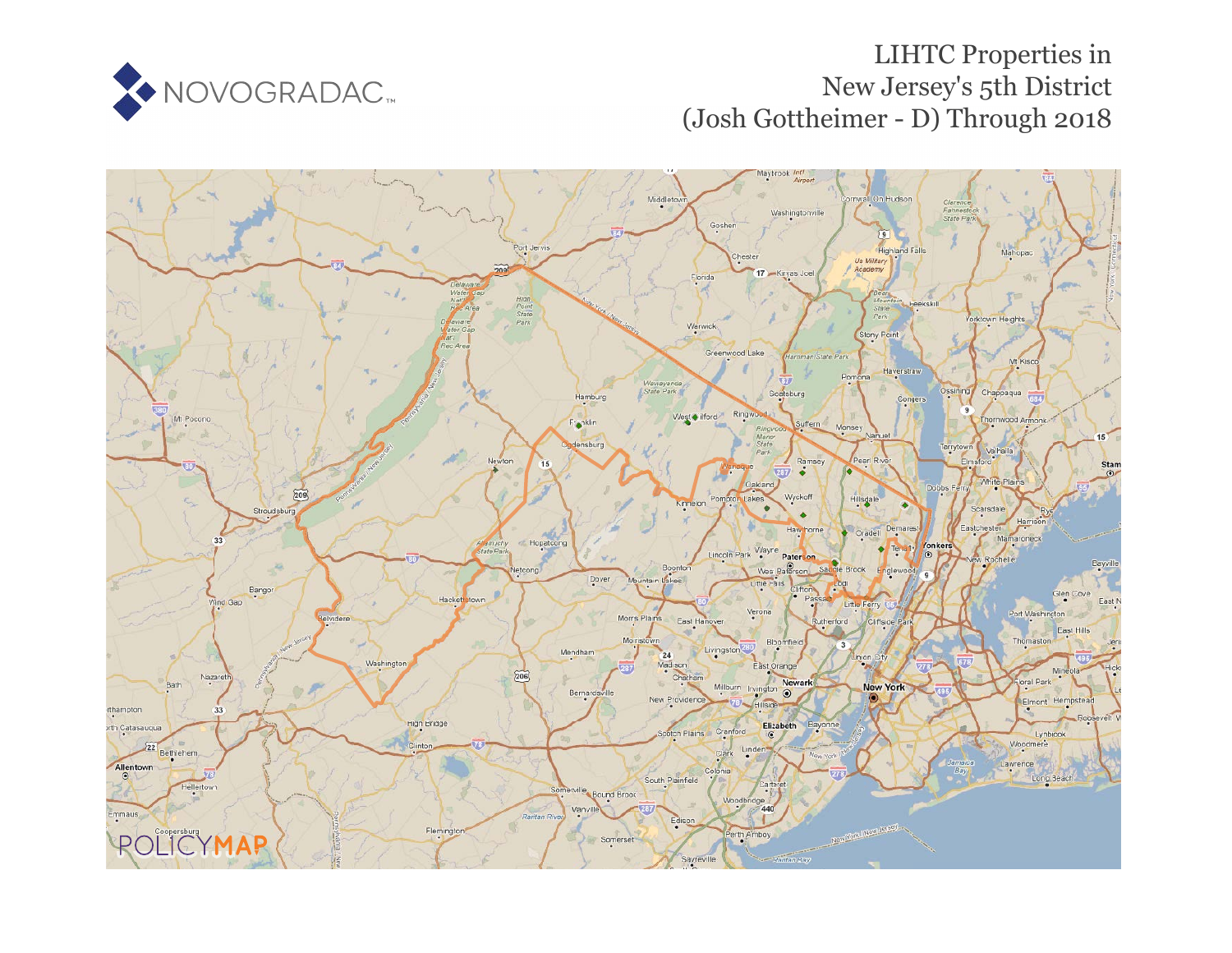

## LIHTC Properties in New Jersey's 5th District (Josh Gottheimer - D) Through 2018

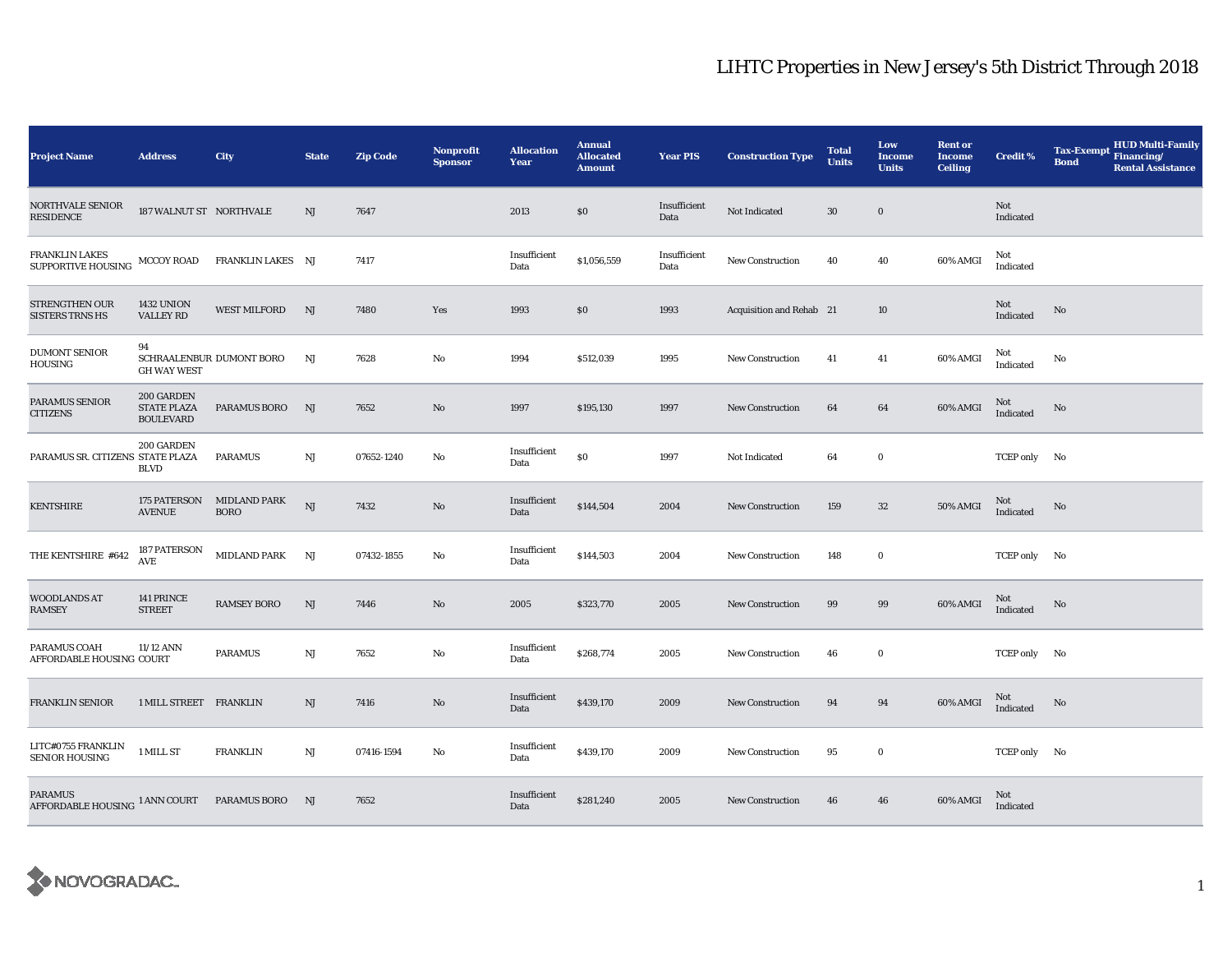## LIHTC Properties in New Jersey's 5th District Through 2018

| <b>Project Name</b>                                         | <b>Address</b>                                       | City                               | <b>State</b> | <b>Zip Code</b> | <b>Nonprofit</b><br><b>Sponsor</b> | <b>Allocation</b><br>Year | <b>Annual</b><br><b>Allocated</b><br><b>Amount</b> | <b>Year PIS</b>      | <b>Construction Type</b> | <b>Total</b><br><b>Units</b> | Low<br>Income<br><b>Units</b> | <b>Rent or</b><br><b>Income</b><br><b>Ceiling</b> | <b>Credit %</b>  | <b>Tax-Exempt</b><br><b>Bond</b> | <b>HUD Multi-Family</b><br>Financing/<br><b>Rental Assistance</b> |
|-------------------------------------------------------------|------------------------------------------------------|------------------------------------|--------------|-----------------|------------------------------------|---------------------------|----------------------------------------------------|----------------------|--------------------------|------------------------------|-------------------------------|---------------------------------------------------|------------------|----------------------------------|-------------------------------------------------------------------|
| NORTHVALE SENIOR<br>RESIDENCE                               | 187 WALNUT ST NORTHVALE                              |                                    | NJ           | 7647            |                                    | 2013                      | \$0                                                | Insufficient<br>Data | Not Indicated            | $30\,$                       | $\bf{0}$                      |                                                   | Not<br>Indicated |                                  |                                                                   |
| FRANKLIN LAKES<br>SUPPORTIVE HOUSING                        | MCCOY ROAD                                           | FRANKLIN LAKES NJ                  |              | 7417            |                                    | Insufficient<br>Data      | \$1,056,559                                        | Insufficient<br>Data | <b>New Construction</b>  | 40                           | 40                            | 60% AMGI                                          | Not<br>Indicated |                                  |                                                                   |
| STRENGTHEN OUR<br><b>SISTERS TRNS HS</b>                    | <b>1432 UNION</b><br><b>VALLEY RD</b>                | <b>WEST MILFORD</b>                | NJ           | 7480            | Yes                                | 1993                      | $\$0$                                              | 1993                 | Acquisition and Rehab 21 |                              | 10                            |                                                   | Not<br>Indicated | No                               |                                                                   |
| <b>DUMONT SENIOR</b><br>HOUSING                             | 94<br><b>GH WAY WEST</b>                             | SCHRAALENBUR DUMONT BORO           | NJ           | 7628            | No                                 | 1994                      | \$512,039                                          | 1995                 | New Construction         | 41                           | 41                            | 60% AMGI                                          | Not<br>Indicated | No                               |                                                                   |
| PARAMUS SENIOR<br>CITIZENS                                  | 200 GARDEN<br><b>STATE PLAZA</b><br><b>BOULEVARD</b> | <b>PARAMUS BORO</b>                | NJ           | 7652            | No                                 | 1997                      | \$195,130                                          | 1997                 | <b>New Construction</b>  | 64                           | 64                            | 60% AMGI                                          | Not<br>Indicated | No                               |                                                                   |
| PARAMUS SR. CITIZENS STATE PLAZA                            | 200 GARDEN<br><b>BLVD</b>                            | <b>PARAMUS</b>                     | $_{\rm NJ}$  | 07652-1240      | No                                 | Insufficient<br>Data      | $\$0$                                              | 1997                 | Not Indicated            | 64                           | $\bf{0}$                      |                                                   | TCEP only No     |                                  |                                                                   |
| KENTSHIRE                                                   | 175 PATERSON<br><b>AVENUE</b>                        | <b>MIDLAND PARK</b><br><b>BORO</b> | NJ           | 7432            | No                                 | Insufficient<br>Data      | \$144,504                                          | 2004                 | <b>New Construction</b>  | 159                          | $32\,$                        | 50% AMGI                                          | Not<br>Indicated | No                               |                                                                   |
| THE KENTSHIRE #642                                          | 187 PATERSON<br><b>AVE</b>                           | <b>MIDLAND PARK</b>                | NJ           | 07432-1855      | No                                 | Insufficient<br>Data      | \$144,503                                          | 2004                 | <b>New Construction</b>  | 148                          | $\bf{0}$                      |                                                   | TCEP only No     |                                  |                                                                   |
| <b>WOODLANDS AT</b><br><b>RAMSEY</b>                        | 141 PRINCE<br><b>STREET</b>                          | <b>RAMSEY BORO</b>                 | NJ           | 7446            | No                                 | 2005                      | \$323,770                                          | 2005                 | <b>New Construction</b>  | 99                           | 99                            | 60% AMGI                                          | Not<br>Indicated | No                               |                                                                   |
| <b>PARAMUS COAH</b><br>AFFORDABLE HOUSING COURT             | 11/12 ANN                                            | <b>PARAMUS</b>                     | NJ           | 7652            | No                                 | Insufficient<br>Data      | \$268,774                                          | 2005                 | <b>New Construction</b>  | 46                           | $\bf{0}$                      |                                                   | TCEP only No     |                                  |                                                                   |
| FRANKLIN SENIOR                                             | 1 MILL STREET FRANKLIN                               |                                    | NJ           | 7416            | No                                 | Insufficient<br>Data      | \$439,170                                          | 2009                 | <b>New Construction</b>  | 94                           | 94                            | 60% AMGI                                          | Not<br>Indicated | No                               |                                                                   |
| LITC#0755 FRANKLIN<br><b>SENIOR HOUSING</b>                 | 1 MILL ST                                            | <b>FRANKLIN</b>                    | $\rm{NJ}$    | 07416-1594      | No                                 | Insufficient<br>Data      | \$439,170                                          | 2009                 | <b>New Construction</b>  | 95                           | $\bf{0}$                      |                                                   | TCEP only No     |                                  |                                                                   |
| <b>PARAMUS</b><br>AFFORDABLE HOUSING <sup>1</sup> ANN COURT |                                                      | <b>PARAMUS BORO</b>                | NJ           | 7652            |                                    | Insufficient<br>Data      | \$281,240                                          | 2005                 | <b>New Construction</b>  | 46                           | 46                            | 60% AMGI                                          | Not<br>Indicated |                                  |                                                                   |

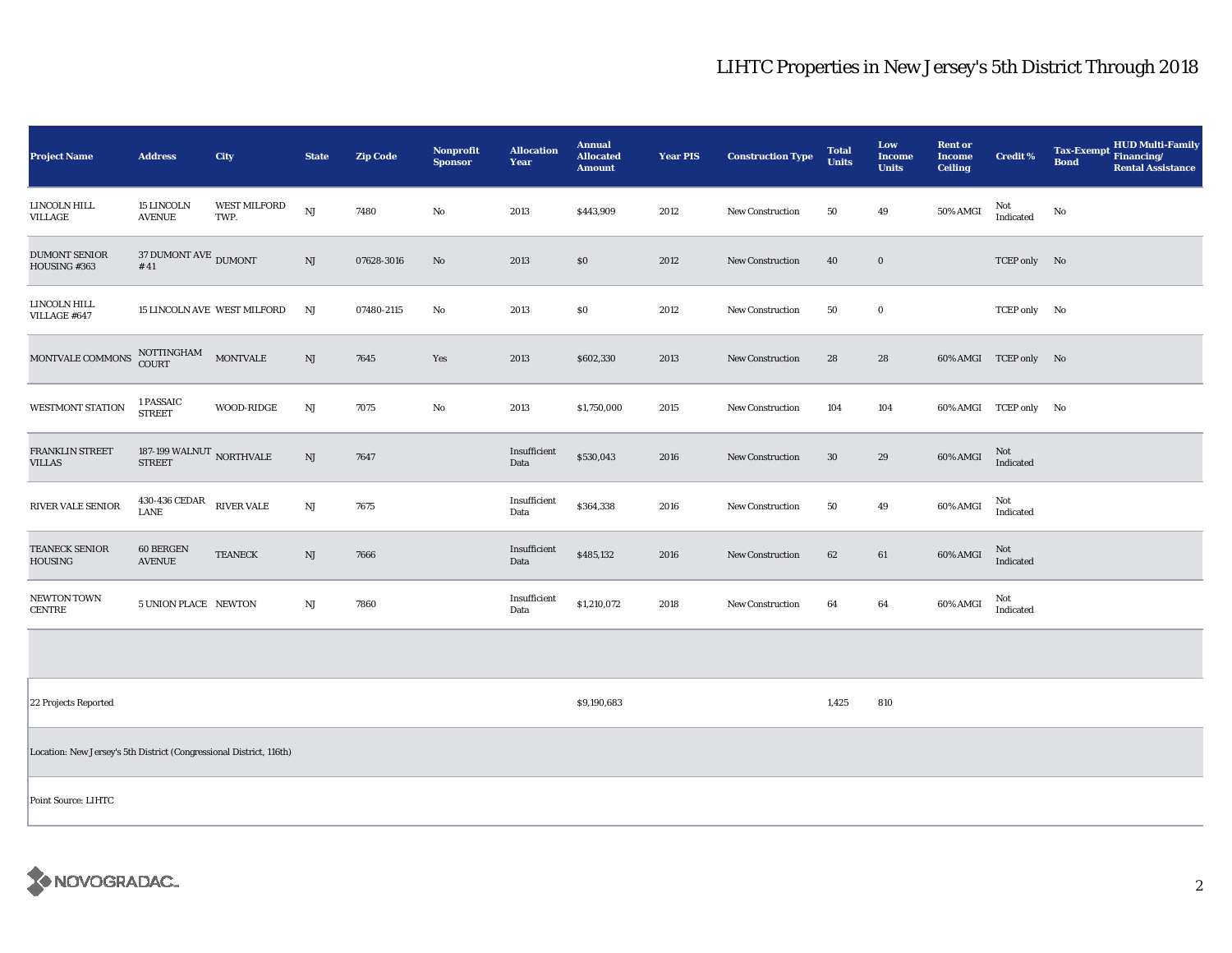## LIHTC Properties in New Jersey's 5th District Through 2018

| <b>Project Name</b>                                                 | <b>Address</b>                                      | City                        | <b>State</b>           | <b>Zip Code</b> | Nonprofit<br><b>Sponsor</b> | <b>Allocation</b><br>Year | <b>Annual</b><br><b>Allocated</b><br><b>Amount</b> | <b>Year PIS</b> | <b>Construction Type</b> | <b>Total</b><br><b>Units</b> | Low<br><b>Income</b><br><b>Units</b> | <b>Rent or</b><br><b>Income</b><br><b>Ceiling</b> | <b>Credit %</b>       | <b>HUD Multi-Family</b><br>Tax-Exempt Financing/<br><b>Bond</b><br><b>Rental Assistance</b> |
|---------------------------------------------------------------------|-----------------------------------------------------|-----------------------------|------------------------|-----------------|-----------------------------|---------------------------|----------------------------------------------------|-----------------|--------------------------|------------------------------|--------------------------------------|---------------------------------------------------|-----------------------|---------------------------------------------------------------------------------------------|
| LINCOLN HILL<br>VILLAGE                                             | 15 LINCOLN<br><b>AVENUE</b>                         | <b>WEST MILFORD</b><br>TWP. | NJ                     | 7480            | $\mathbf{No}$               | 2013                      | \$443,909                                          | 2012            | New Construction         | 50                           | 49                                   | 50% AMGI                                          | Not<br>Indicated      | No                                                                                          |
| <b>DUMONT SENIOR</b><br>HOUSING #363                                | 37 DUMONT AVE DUMONT<br>$\#$ 41                     |                             | NJ                     | 07628-3016      | $\mathbf{No}$               | 2013                      | \$0                                                | 2012            | <b>New Construction</b>  | 40                           | $\bf{0}$                             |                                                   | TCEP only No          |                                                                                             |
| LINCOLN HILL<br>VILLAGE #647                                        |                                                     | 15 LINCOLN AVE WEST MILFORD | NJ                     | 07480-2115      | No                          | 2013                      | \$0                                                | 2012            | New Construction         | 50                           | $\bf{0}$                             |                                                   | TCEP only No          |                                                                                             |
| MONTVALE COMMONS                                                    | NOTTINGHAM<br><b>COURT</b>                          | <b>MONTVALE</b>             | NJ                     | 7645            | Yes                         | 2013                      | \$602,330                                          | 2013            | New Construction         | 28                           | 28                                   |                                                   | 60% AMGI TCEP only No |                                                                                             |
| <b>WESTMONT STATION</b>                                             | 1 PASSAIC<br><b>STREET</b>                          | <b>WOOD-RIDGE</b>           | $\mathbf{N}\mathbf{J}$ | 7075            | No                          | 2013                      | \$1,750,000                                        | 2015            | <b>New Construction</b>  | 104                          | 104                                  |                                                   | 60% AMGI TCEP only No |                                                                                             |
| FRANKLIN STREET<br>VILLAS                                           | 187-199 WALNUT $_{\rm{NORTHVALE}}$<br><b>STREET</b> |                             | NJ                     | 7647            |                             | Insufficient<br>Data      | \$530,043                                          | 2016            | <b>New Construction</b>  | 30                           | 29                                   | 60% AMGI                                          | Not<br>Indicated      |                                                                                             |
| RIVER VALE SENIOR                                                   | 430-436 CEDAR<br><b>LANE</b>                        | <b>RIVER VALE</b>           | $\rm NJ$               | 7675            |                             | Insufficient<br>Data      | \$364,338                                          | 2016            | <b>New Construction</b>  | 50                           | 49                                   | 60% AMGI                                          | Not<br>Indicated      |                                                                                             |
| <b>TEANECK SENIOR</b><br>HOUSING                                    | <b>60 BERGEN</b><br><b>AVENUE</b>                   | <b>TEANECK</b>              | NJ                     | 7666            |                             | Insufficient<br>Data      | \$485,132                                          | 2016            | <b>New Construction</b>  | 62                           | $\bf{61}$                            | 60% AMGI                                          | Not<br>Indicated      |                                                                                             |
| <b>NEWTON TOWN</b><br><b>CENTRE</b>                                 | 5 UNION PLACE NEWTON                                |                             | NJ                     | 7860            |                             | Insufficient<br>Data      | \$1,210,072                                        | 2018            | <b>New Construction</b>  | 64                           | 64                                   | 60% AMGI                                          | Not<br>Indicated      |                                                                                             |
|                                                                     |                                                     |                             |                        |                 |                             |                           |                                                    |                 |                          |                              |                                      |                                                   |                       |                                                                                             |
| 22 Projects Reported                                                |                                                     |                             |                        |                 |                             |                           | \$9,190,683                                        |                 |                          | 1,425                        | 810                                  |                                                   |                       |                                                                                             |
| Location: New Jersey's 5th District (Congressional District, 116th) |                                                     |                             |                        |                 |                             |                           |                                                    |                 |                          |                              |                                      |                                                   |                       |                                                                                             |
| Point Source: LIHTC                                                 |                                                     |                             |                        |                 |                             |                           |                                                    |                 |                          |                              |                                      |                                                   |                       |                                                                                             |